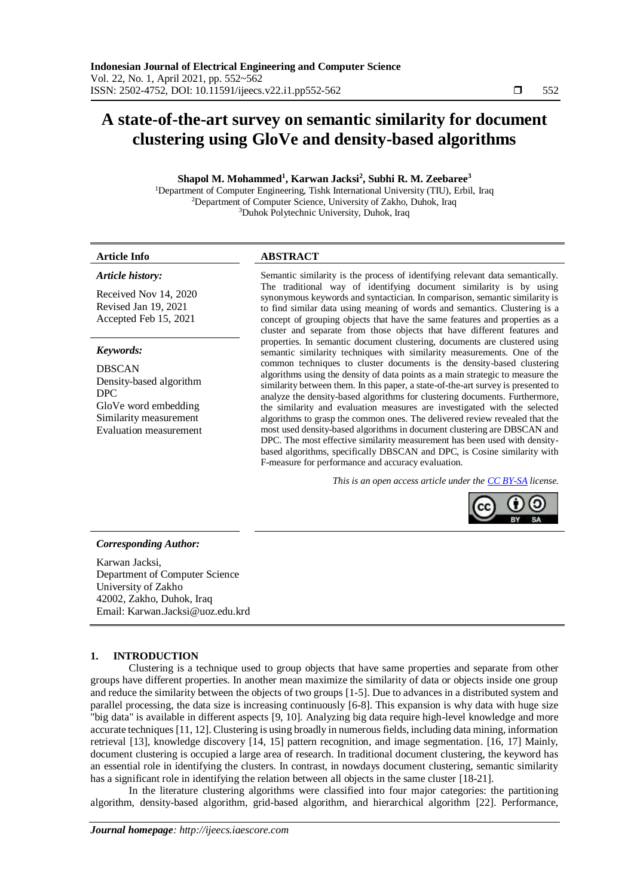# **A state-of-the-art survey on semantic similarity for document clustering using GloVe and density-based algorithms**

# **Shapol M. Mohammed<sup>1</sup> , Karwan Jacksi<sup>2</sup> , Subhi R. M. Zeebaree<sup>3</sup>**

<sup>1</sup>Department of Computer Engineering, Tishk International University (TIU), Erbil, Iraq <sup>2</sup>Department of Computer Science, University of Zakho, Duhok, Iraq <sup>3</sup>Duhok Polytechnic University, Duhok, Iraq

#### **Article Info ABSTRACT**

*Article history:*

Received Nov 14, 2020 Revised Jan 19, 2021 Accepted Feb 15, 2021

### *Keywords:*

DBSCAN Density-based algorithm DPC GloVe word embedding Similarity measurement Evaluation measurement Semantic similarity is the process of identifying relevant data semantically. The traditional way of identifying document similarity is by using synonymous keywords and syntactician. In comparison, semantic similarity is to find similar data using meaning of words and semantics. Clustering is a concept of grouping objects that have the same features and properties as a cluster and separate from those objects that have different features and properties. In semantic document clustering, documents are clustered using semantic similarity techniques with similarity measurements. One of the common techniques to cluster documents is the density-based clustering algorithms using the density of data points as a main strategic to measure the similarity between them. In this paper, a state-of-the-art survey is presented to analyze the density-based algorithms for clustering documents. Furthermore, the similarity and evaluation measures are investigated with the selected algorithms to grasp the common ones. The delivered review revealed that the most used density-based algorithms in document clustering are DBSCAN and DPC. The most effective similarity measurement has been used with densitybased algorithms, specifically DBSCAN and DPC, is Cosine similarity with F-measure for performance and accuracy evaluation.

*This is an open access article under th[e CC BY-SA](https://creativecommons.org/licenses/by-sa/4.0/) license.*



#### *Corresponding Author:*

Karwan Jacksi, Department of Computer Science University of Zakho 42002, Zakho, Duhok, Iraq Email: Karwan.Jacksi@uoz.edu.krd

### **1. INTRODUCTION**

Clustering is a technique used to group objects that have same properties and separate from other groups have different properties. In another mean maximize the similarity of data or objects inside one group and reduce the similarity between the objects of two groups [1-5]. Due to advances in a distributed system and parallel processing, the data size is increasing continuously [6-8]. This expansion is why data with huge size "big data" is available in different aspects [9, 10]. Analyzing big data require high-level knowledge and more accurate techniques [11, 12]. Clustering is using broadly in numerous fields, including data mining, information retrieval [13], knowledge discovery [14, 15] pattern recognition, and image segmentation. [16, 17] Mainly, document clustering is occupied a large area of research. In traditional document clustering, the keyword has an essential role in identifying the clusters. In contrast, in nowdays document clustering, semantic similarity has a significant role in identifying the relation between all objects in the same cluster [18-21].

In the literature clustering algorithms were classified into four major categories: the partitioning algorithm, density-based algorithm, grid-based algorithm, and hierarchical algorithm [22]. Performance,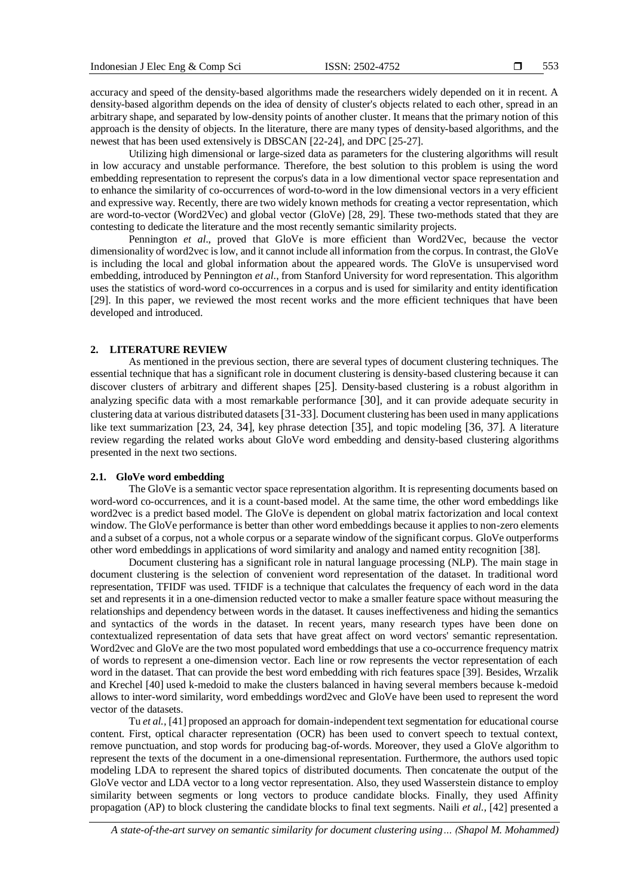accuracy and speed of the density-based algorithms made the researchers widely depended on it in recent. A density-based algorithm depends on the idea of density of cluster's objects related to each other, spread in an arbitrary shape, and separated by low-density points of another cluster. It means that the primary notion of this approach is the density of objects. In the literature, there are many types of density-based algorithms, and the newest that has been used extensively is DBSCAN [22-24], and DPC [25-27].

Utilizing high dimensional or large-sized data as parameters for the clustering algorithms will result in low accuracy and unstable performance. Therefore, the best solution to this problem is using the word embedding representation to represent the corpus's data in a low dimentional vector space representation and to enhance the similarity of co-occurrences of word-to-word in the low dimensional vectors in a very efficient and expressive way. Recently, there are two widely known methods for creating a vector representation, which are word-to-vector (Word2Vec) and global vector (GloVe) [28, 29]. These two-methods stated that they are contesting to dedicate the literature and the most recently semantic similarity projects.

Pennington *et al*., proved that GloVe is more efficient than Word2Vec, because the vector dimensionality of word2vec is low, and it cannot include all information from the corpus. In contrast, the GloVe is including the local and global information about the appeared words. The GloVe is unsupervised word embedding, introduced by Pennington *et al*., from Stanford University for word representation. This algorithm uses the statistics of word-word co-occurrences in a corpus and is used for similarity and entity identification [29]. In this paper, we reviewed the most recent works and the more efficient techniques that have been developed and introduced.

#### **2. LITERATURE REVIEW**

As mentioned in the previous section, there are several types of document clustering techniques. The essential technique that has a significant role in document clustering is density-based clustering because it can discover clusters of arbitrary and different shapes [25]. Density-based clustering is a robust algorithm in analyzing specific data with a most remarkable performance [30], and it can provide adequate security in clustering data at various distributed datasets [31-33]. Document clustering has been used in many applications like text summarization [23, 24, 34], key phrase detection [35], and topic modeling [36, 37]. A literature review regarding the related works about GloVe word embedding and density-based clustering algorithms presented in the next two sections.

#### **2.1. GloVe word embedding**

The GloVe is a semantic vector space representation algorithm. It is representing documents based on word-word co-occurrences, and it is a count-based model. At the same time, the other word embeddings like word2vec is a predict based model. The GloVe is dependent on global matrix factorization and local context window. The GloVe performance is better than other word embeddings because it applies to non-zero elements and a subset of a corpus, not a whole corpus or a separate window of the significant corpus. GloVe outperforms other word embeddings in applications of word similarity and analogy and named entity recognition [38].

Document clustering has a significant role in natural language processing (NLP). The main stage in document clustering is the selection of convenient word representation of the dataset. In traditional word representation, TFIDF was used. TFIDF is a technique that calculates the frequency of each word in the data set and represents it in a one-dimension reducted vector to make a smaller feature space without measuring the relationships and dependency between words in the dataset. It causes ineffectiveness and hiding the semantics and syntactics of the words in the dataset. In recent years, many research types have been done on contextualized representation of data sets that have great affect on word vectors' semantic representation. Word2vec and GloVe are the two most populated word embeddings that use a co-occurrence frequency matrix of words to represent a one-dimension vector. Each line or row represents the vector representation of each word in the dataset. That can provide the best word embedding with rich features space [39]. Besides, Wrzalik and Krechel [40] used k-medoid to make the clusters balanced in having several members because k-medoid allows to inter-word similarity, word embeddings word2vec and GloVe have been used to represent the word vector of the datasets.

Tu *et al.,* [41] proposed an approach for domain-independent text segmentation for educational course content. First, optical character representation (OCR) has been used to convert speech to textual context, remove punctuation, and stop words for producing bag-of-words. Moreover, they used a GloVe algorithm to represent the texts of the document in a one-dimensional representation. Furthermore, the authors used topic modeling LDA to represent the shared topics of distributed documents. Then concatenate the output of the GloVe vector and LDA vector to a long vector representation. Also, they used Wasserstein distance to employ similarity between segments or long vectors to produce candidate blocks. Finally, they used Affinity propagation (AP) to block clustering the candidate blocks to final text segments. Naili *et al.,* [42] presented a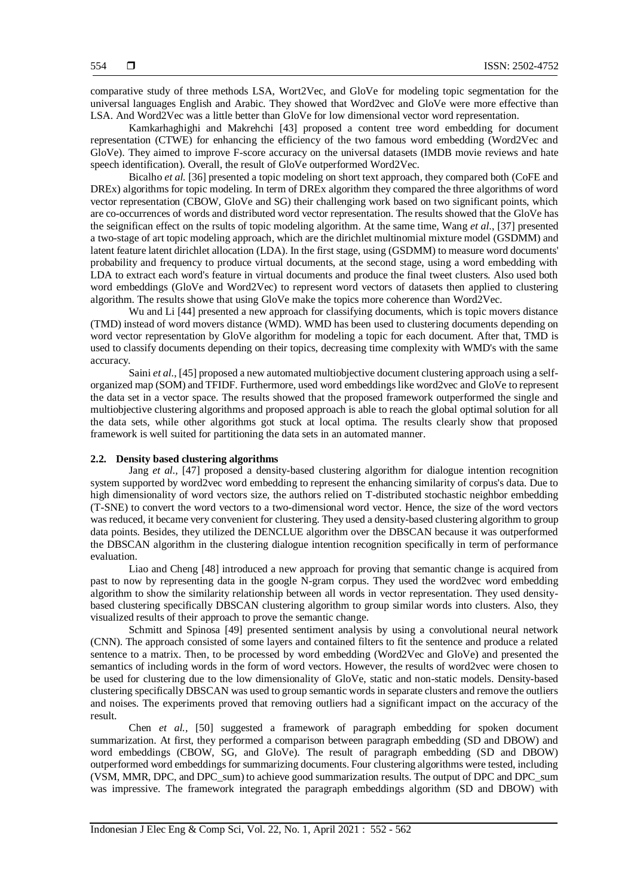comparative study of three methods LSA, Wort2Vec, and GloVe for modeling topic segmentation for the universal languages English and Arabic. They showed that Word2vec and GloVe were more effective than LSA. And Word2Vec was a little better than GloVe for low dimensional vector word representation.

Kamkarhaghighi and Makrehchi [43] proposed a content tree word embedding for document representation (CTWE) for enhancing the efficiency of the two famous word embedding (Word2Vec and GloVe). They aimed to improve F-score accuracy on the universal datasets (IMDB movie reviews and hate speech identification). Overall, the result of GloVe outperformed Word2Vec.

Bicalho *et al.* [36] presented a topic modeling on short text approach, they compared both (CoFE and DREx) algorithms for topic modeling. In term of DREx algorithm they compared the three algorithms of word vector representation (CBOW, GloVe and SG) their challenging work based on two significant points, which are co-occurrences of words and distributed word vector representation. The results showed that the GloVe has the seignifican effect on the rsults of topic modeling algorithm. At the same time, Wang *et al*., [37] presented a two-stage of art topic modeling approach, which are the dirichlet multinomial mixture model (GSDMM) and latent feature latent dirichlet allocation (LDA). In the first stage, using (GSDMM) to measure word documents' probability and frequency to produce virtual documents, at the second stage, using a word embedding with LDA to extract each word's feature in virtual documents and produce the final tweet clusters. Also used both word embeddings (GloVe and Word2Vec) to represent word vectors of datasets then applied to clustering algorithm. The results showe that using GloVe make the topics more coherence than Word2Vec.

Wu and Li [44] presented a new approach for classifying documents, which is topic movers distance (TMD) instead of word movers distance (WMD). WMD has been used to clustering documents depending on word vector representation by GloVe algorithm for modeling a topic for each document. After that, TMD is used to classify documents depending on their topics, decreasing time complexity with WMD's with the same accuracy.

Saini *et al*., [45] proposed a new automated multiobjective document clustering approach using a selforganized map (SOM) and TFIDF. Furthermore, used word embeddings like word2vec and GloVe to represent the data set in a vector space. The results showed that the proposed framework outperformed the single and multiobjective clustering algorithms and proposed approach is able to reach the global optimal solution for all the data sets, while other algorithms got stuck at local optima. The results clearly show that proposed framework is well suited for partitioning the data sets in an automated manner.

#### **2.2. Density based clustering algorithms**

Jang *et al.*, [47] proposed a density-based clustering algorithm for dialogue intention recognition system supported by word2vec word embedding to represent the enhancing similarity of corpus's data. Due to high dimensionality of word vectors size, the authors relied on T-distributed stochastic neighbor embedding (T-SNE) to convert the word vectors to a two-dimensional word vector. Hence, the size of the word vectors was reduced, it became very convenient for clustering. They used a density-based clustering algorithm to group data points. Besides, they utilized the DENCLUE algorithm over the DBSCAN because it was outperformed the DBSCAN algorithm in the clustering dialogue intention recognition specifically in term of performance evaluation.

Liao and Cheng [48] introduced a new approach for proving that semantic change is acquired from past to now by representing data in the google N-gram corpus. They used the word2vec word embedding algorithm to show the similarity relationship between all words in vector representation. They used densitybased clustering specifically DBSCAN clustering algorithm to group similar words into clusters. Also, they visualized results of their approach to prove the semantic change.

Schmitt and Spinosa [49] presented sentiment analysis by using a convolutional neural network (CNN). The approach consisted of some layers and contained filters to fit the sentence and produce a related sentence to a matrix. Then, to be processed by word embedding (Word2Vec and GloVe) and presented the semantics of including words in the form of word vectors. However, the results of word2vec were chosen to be used for clustering due to the low dimensionality of GloVe, static and non-static models. Density-based clustering specifically DBSCAN was used to group semantic words in separate clusters and remove the outliers and noises. The experiments proved that removing outliers had a significant impact on the accuracy of the result.

Chen *et al.,* [50] suggested a framework of paragraph embedding for spoken document summarization. At first, they performed a comparison between paragraph embedding (SD and DBOW) and word embeddings (CBOW, SG, and GloVe). The result of paragraph embedding (SD and DBOW) outperformed word embeddings for summarizing documents. Four clustering algorithms were tested, including (VSM, MMR, DPC, and DPC\_sum) to achieve good summarization results. The output of DPC and DPC\_sum was impressive. The framework integrated the paragraph embeddings algorithm (SD and DBOW) with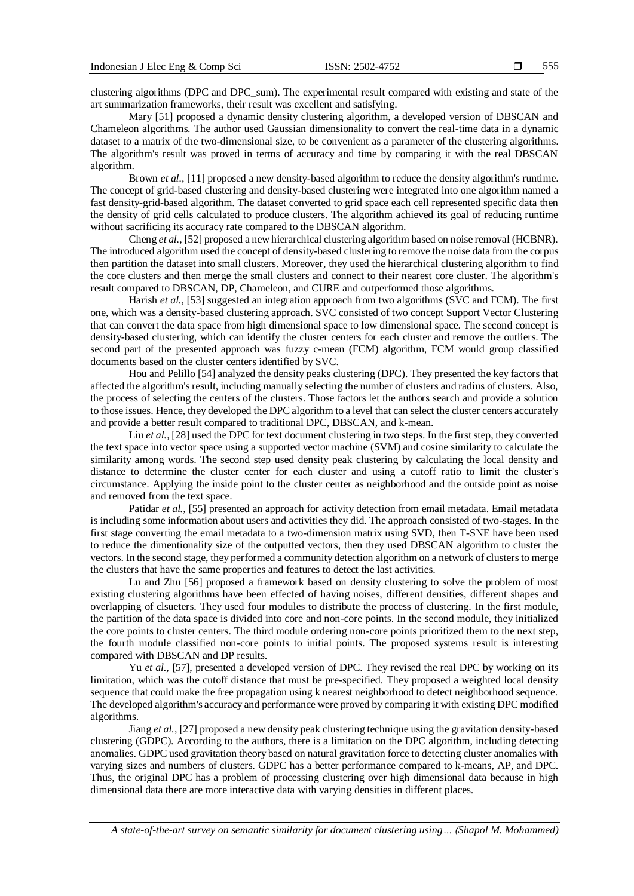555

clustering algorithms (DPC and DPC\_sum). The experimental result compared with existing and state of the art summarization frameworks, their result was excellent and satisfying.

Mary [51] proposed a dynamic density clustering algorithm, a developed version of DBSCAN and Chameleon algorithms. The author used Gaussian dimensionality to convert the real-time data in a dynamic dataset to a matrix of the two-dimensional size, to be convenient as a parameter of the clustering algorithms. The algorithm's result was proved in terms of accuracy and time by comparing it with the real DBSCAN algorithm.

Brown *et al.,* [11] proposed a new density-based algorithm to reduce the density algorithm's runtime. The concept of grid-based clustering and density-based clustering were integrated into one algorithm named a fast density-grid-based algorithm. The dataset converted to grid space each cell represented specific data then the density of grid cells calculated to produce clusters. The algorithm achieved its goal of reducing runtime without sacrificing its accuracy rate compared to the DBSCAN algorithm.

Cheng *et al.,* [52] proposed a new hierarchical clustering algorithm based on noise removal (HCBNR). The introduced algorithm used the concept of density-based clustering to remove the noise data from the corpus then partition the dataset into small clusters. Moreover, they used the hierarchical clustering algorithm to find the core clusters and then merge the small clusters and connect to their nearest core cluster. The algorithm's result compared to DBSCAN, DP, Chameleon, and CURE and outperformed those algorithms.

Harish *et al.*, [53] suggested an integration approach from two algorithms (SVC and FCM). The first one, which was a density-based clustering approach. SVC consisted of two concept Support Vector Clustering that can convert the data space from high dimensional space to low dimensional space. The second concept is density-based clustering, which can identify the cluster centers for each cluster and remove the outliers. The second part of the presented approach was fuzzy c-mean (FCM) algorithm, FCM would group classified documents based on the cluster centers identified by SVC.

Hou and Pelillo [54] analyzed the density peaks clustering (DPC). They presented the key factors that affected the algorithm's result, including manually selecting the number of clusters and radius of clusters. Also, the process of selecting the centers of the clusters. Those factors let the authors search and provide a solution to those issues. Hence, they developed the DPC algorithm to a level that can select the cluster centers accurately and provide a better result compared to traditional DPC, DBSCAN, and k-mean.

Liu *et al.*, [28] used the DPC for text document clustering in two steps. In the first step, they converted the text space into vector space using a supported vector machine (SVM) and cosine similarity to calculate the similarity among words. The second step used density peak clustering by calculating the local density and distance to determine the cluster center for each cluster and using a cutoff ratio to limit the cluster's circumstance. Applying the inside point to the cluster center as neighborhood and the outside point as noise and removed from the text space.

Patidar *et al.,* [55] presented an approach for activity detection from email metadata. Email metadata is including some information about users and activities they did. The approach consisted of two-stages. In the first stage converting the email metadata to a two-dimension matrix using SVD, then T-SNE have been used to reduce the dimentionality size of the outputted vectors, then they used DBSCAN algorithm to cluster the vectors. In the second stage, they performed a community detection algorithm on a network of clusters to merge the clusters that have the same properties and features to detect the last activities.

Lu and Zhu [56] proposed a framework based on density clustering to solve the problem of most existing clustering algorithms have been effected of having noises, different densities, different shapes and overlapping of clsueters. They used four modules to distribute the process of clustering. In the first module, the partition of the data space is divided into core and non-core points. In the second module, they initialized the core points to cluster centers. The third module ordering non-core points prioritized them to the next step, the fourth module classified non-core points to initial points. The proposed systems result is interesting compared with DBSCAN and DP results.

Yu *et al.,* [57], presented a developed version of DPC. They revised the real DPC by working on its limitation, which was the cutoff distance that must be pre-specified. They proposed a weighted local density sequence that could make the free propagation using k nearest neighborhood to detect neighborhood sequence. The developed algorithm's accuracy and performance were proved by comparing it with existing DPC modified algorithms.

Jiang *et al.,* [27] proposed a new density peak clustering technique using the gravitation density-based clustering (GDPC). According to the authors, there is a limitation on the DPC algorithm, including detecting anomalies. GDPC used gravitation theory based on natural gravitation force to detecting cluster anomalies with varying sizes and numbers of clusters. GDPC has a better performance compared to k-means, AP, and DPC. Thus, the original DPC has a problem of processing clustering over high dimensional data because in high dimensional data there are more interactive data with varying densities in different places.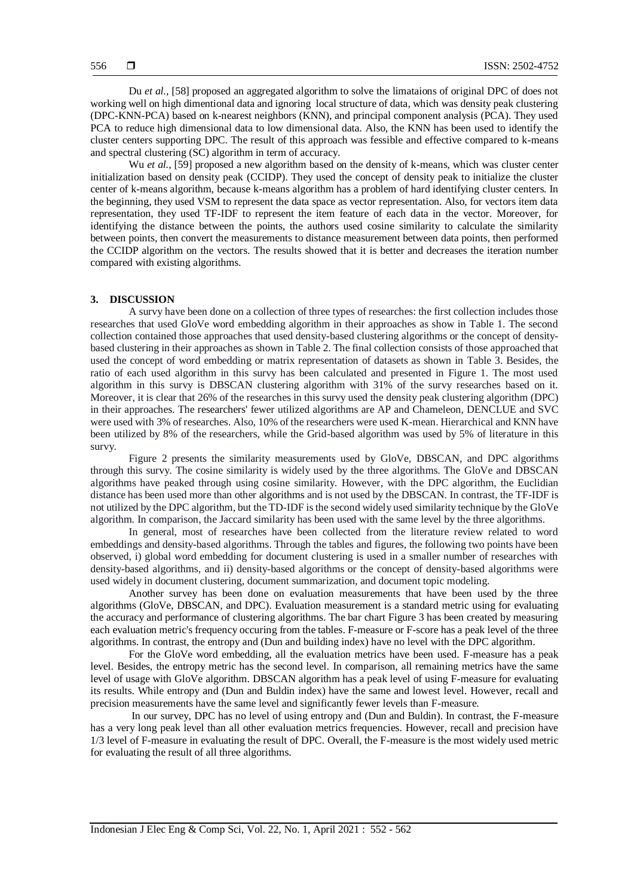Du *et al.,* [58] proposed an aggregated algorithm to solve the limataions of original DPC of does not working well on high dimentional data and ignoring local structure of data, which was density peak clustering (DPC-KNN-PCA) based on k-nearest neighbors (KNN), and principal component analysis (PCA). They used PCA to reduce high dimensional data to low dimensional data. Also, the KNN has been used to identify the cluster centers supporting DPC. The result of this approach was fessible and effective compared to k-means and spectral clustering (SC) algorithm in term of accuracy.

Wu *et al.*, [59] proposed a new algorithm based on the density of k-means, which was cluster center initialization based on density peak (CCIDP). They used the concept of density peak to initialize the cluster center of k-means algorithm, because k-means algorithm has a problem of hard identifying cluster centers. In the beginning, they used VSM to represent the data space as vector representation. Also, for vectors item data representation, they used TF-IDF to represent the item feature of each data in the vector. Moreover, for identifying the distance between the points, the authors used cosine similarity to calculate the similarity between points, then convert the measurements to distance measurement between data points, then performed the CCIDP algorithm on the vectors. The results showed that it is better and decreases the iteration number compared with existing algorithms.

#### **3. DISCUSSION**

A survy have been done on a collection of three types of researches: the first collection includes those researches that used GloVe word embedding algorithm in their approaches as show in Table 1. The second collection contained those approaches that used density-based clustering algorithms or the concept of densitybased clustering in their approaches as shown in Table 2. The final collection consists of those approached that used the concept of word embedding or matrix representation of datasets as shown in Table 3. Besides, the ratio of each used algorithm in this survy has been calculated and presented in Figure 1. The most used algorithm in this survy is DBSCAN clustering algorithm with 31% of the survy researches based on it. Moreover, it is clear that 26% of the researches in this survy used the density peak clustering algorithm (DPC) in their approaches. The researchers' fewer utilized algorithms are AP and Chameleon, DENCLUE and SVC were used with 3% of researches. Also, 10% of the researchers were used K-mean. Hierarchical and KNN have been utilized by 8% of the researchers, while the Grid-based algorithm was used by 5% of literature in this survy.

Figure 2 presents the similarity measurements used by GloVe, DBSCAN, and DPC algorithms through this survy. The cosine similarity is widely used by the three algorithms. The GloVe and DBSCAN algorithms have peaked through using cosine similarity. However, with the DPC algorithm, the Euclidian distance has been used more than other algorithms and is not used by the DBSCAN. In contrast, the TF-IDF is not utilized by the DPC algorithm, but the TD-IDF is the second widely used similarity technique by the GloVe algorithm. In comparison, the Jaccard similarity has been used with the same level by the three algorithms.

In general, most of researches have been collected from the literature review related to word embeddings and density-based algorithms. Through the tables and figures, the following two points have been observed, i) global word embedding for document clustering is used in a smaller number of researches with density-based algorithms, and ii) density-based algorithms or the concept of density-based algorithms were used widely in document clustering, document summarization, and document topic modeling.

Another survey has been done on evaluation measurements that have been used by the three algorithms (GloVe, DBSCAN, and DPC). Evaluation measurement is a standard metric using for evaluating the accuracy and performance of clustering algorithms. The bar chart Figure 3 has been created by measuring each evaluation metric's frequency occuring from the tables. F-measure or F-score has a peak level of the three algorithms. In contrast, the entropy and (Dun and building index) have no level with the DPC algorithm.

For the GloVe word embedding, all the evaluation metrics have been used. F-measure has a peak level. Besides, the entropy metric has the second level. In comparison, all remaining metrics have the same level of usage with GloVe algorithm. DBSCAN algorithm has a peak level of using F-measure for evaluating its results. While entropy and (Dun and Buldin index) have the same and lowest level. However, recall and precision measurements have the same level and significantly fewer levels than F-measure.

In our survey, DPC has no level of using entropy and (Dun and Buldin). In contrast, the F-measure has a very long peak level than all other evaluation metrics frequencies. However, recall and precision have 1/3 level of F-measure in evaluating the result of DPC. Overall, the F-measure is the most widely used metric for evaluating the result of all three algorithms.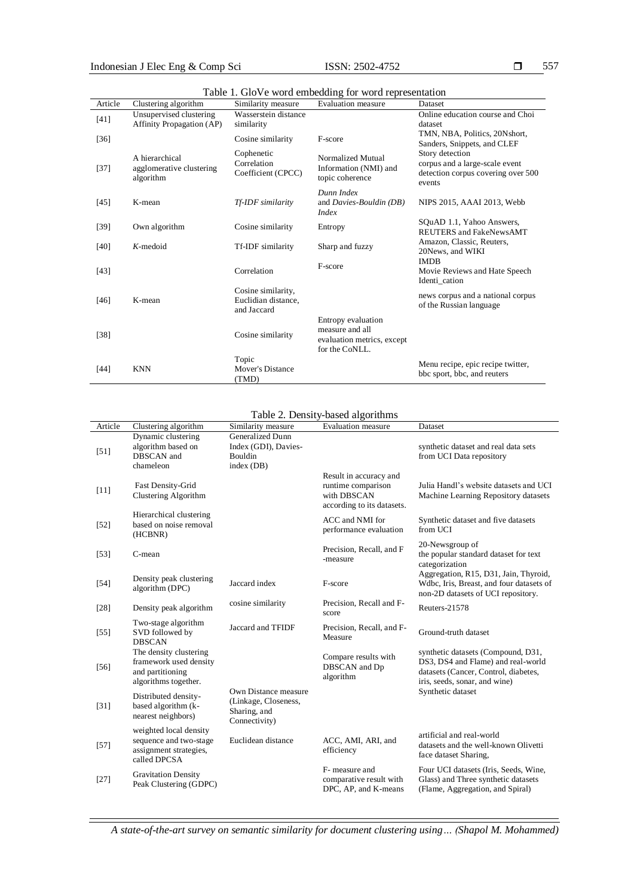| Article | Clustering algorithm                                        | Similarity measure                                       | Evaluation measure                                                                    | Dataset                                                                                           |
|---------|-------------------------------------------------------------|----------------------------------------------------------|---------------------------------------------------------------------------------------|---------------------------------------------------------------------------------------------------|
| $[41]$  | Unsupervised clustering<br><b>Affinity Propagation (AP)</b> | Wasserstein distance<br>similarity                       |                                                                                       | Online education course and Choi<br>dataset                                                       |
| $[36]$  |                                                             | Cosine similarity                                        | F-score                                                                               | TMN, NBA, Politics, 20Nshort,<br>Sanders, Snippets, and CLEF                                      |
| $[37]$  | A hierarchical<br>agglomerative clustering<br>algorithm     | Cophenetic<br>Correlation<br>Coefficient (CPCC)          | Normalized Mutual<br>Information (NMI) and<br>topic coherence                         | Story detection<br>corpus and a large-scale event<br>detection corpus covering over 500<br>events |
| [45]    | K-mean                                                      | Tf-IDF similarity                                        | Dunn Index<br>and Davies-Bouldin (DB)<br><i>Index</i>                                 | NIPS 2015, AAAI 2013, Webb                                                                        |
| $[39]$  | Own algorithm                                               | Cosine similarity                                        | Entropy                                                                               | SOuAD 1.1, Yahoo Answers,<br><b>REUTERS</b> and FakeNewsAMT                                       |
| [40]    | $K$ -medoid                                                 | Tf-IDF similarity                                        | Sharp and fuzzy                                                                       | Amazon, Classic, Reuters,<br>20News, and WIKI                                                     |
| [43]    |                                                             | Correlation                                              | F-score                                                                               | <b>IMDB</b><br>Movie Reviews and Hate Speech<br>Identi cation                                     |
| $[46]$  | K-mean                                                      | Cosine similarity,<br>Euclidian distance,<br>and Jaccard |                                                                                       | news corpus and a national corpus<br>of the Russian language                                      |
| $[38]$  |                                                             | Cosine similarity                                        | Entropy evaluation<br>measure and all<br>evaluation metrics, except<br>for the CoNLL. |                                                                                                   |
| [44]    | <b>KNN</b>                                                  | Topic<br>Mover's Distance<br>(TMD)                       |                                                                                       | Menu recipe, epic recipe twitter,<br>bbc sport, bbc, and reuters                                  |

Table 1. GloVe word embedding for word representation

## Table 2. Density-based algorithms

| Article | Clustering algorithm                                                                         | Similarity measure                                                            | $14010$ $\mu$ . Density based argoritaning<br>Evaluation measure                          | Dataset                                                                                                                                           |
|---------|----------------------------------------------------------------------------------------------|-------------------------------------------------------------------------------|-------------------------------------------------------------------------------------------|---------------------------------------------------------------------------------------------------------------------------------------------------|
| [51]    | Dynamic clustering<br>algorithm based on<br>DBSCAN and<br>chameleon                          | Generalized Dunn<br>Index (GDI), Davies-<br>Bouldin<br>index (DB)             |                                                                                           | synthetic dataset and real data sets<br>from UCI Data repository                                                                                  |
| $[11]$  | Fast Density-Grid<br>Clustering Algorithm                                                    |                                                                               | Result in accuracy and<br>runtime comparison<br>with DBSCAN<br>according to its datasets. | Julia Handl's website datasets and UCI<br>Machine Learning Repository datasets                                                                    |
| $[52]$  | Hierarchical clustering<br>based on noise removal<br>(HCBNR)                                 |                                                                               | ACC and NMI for<br>performance evaluation                                                 | Synthetic dataset and five datasets<br>from UCI                                                                                                   |
| [53]    | C-mean                                                                                       |                                                                               | Precision, Recall, and F<br>-measure                                                      | 20-Newsgroup of<br>the popular standard dataset for text<br>categorization                                                                        |
| $[54]$  | Density peak clustering<br>algorithm (DPC)                                                   | Jaccard index                                                                 | F-score                                                                                   | Aggregation, R15, D31, Jain, Thyroid,<br>Wdbc, Iris, Breast, and four datasets of<br>non-2D datasets of UCI repository.                           |
| [28]    | Density peak algorithm                                                                       | cosine similarity                                                             | Precision, Recall and F-<br>score                                                         | Reuters-21578                                                                                                                                     |
| $[55]$  | Two-stage algorithm<br>SVD followed by<br><b>DBSCAN</b>                                      | Jaccard and TFIDF                                                             | Precision, Recall, and F-<br>Measure                                                      | Ground-truth dataset                                                                                                                              |
| $[56]$  | The density clustering<br>framework used density<br>and partitioning<br>algorithms together. |                                                                               | Compare results with<br>DBSCAN and Dp<br>algorithm                                        | synthetic datasets (Compound, D31,<br>DS3, DS4 and Flame) and real-world<br>datasets (Cancer, Control, diabetes,<br>iris, seeds, sonar, and wine) |
| $[31]$  | Distributed density-<br>based algorithm (k-<br>nearest neighbors)                            | Own Distance measure<br>(Linkage, Closeness,<br>Sharing, and<br>Connectivity) |                                                                                           | Synthetic dataset                                                                                                                                 |
| $[57]$  | weighted local density<br>sequence and two-stage<br>assignment strategies,<br>called DPCSA   | Euclidean distance                                                            | ACC, AMI, ARI, and<br>efficiency                                                          | artificial and real-world<br>datasets and the well-known Olivetti<br>face dataset Sharing,                                                        |
| $[27]$  | <b>Gravitation Density</b><br>Peak Clustering (GDPC)                                         |                                                                               | F- measure and<br>comparative result with<br>DPC, AP, and K-means                         | Four UCI datasets (Iris, Seeds, Wine,<br>Glass) and Three synthetic datasets<br>(Flame, Aggregation, and Spiral)                                  |

*A state-of-the-art survey on semantic similarity for document clustering using… (Shapol M. Mohammed)*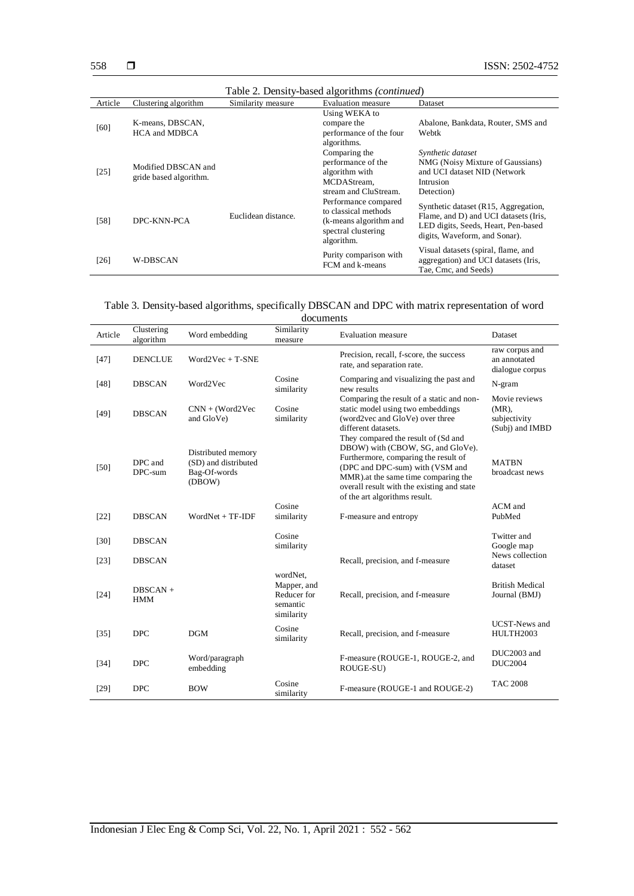| Table 2. Density-based algorithms <i>(continued)</i> |                                               |                     |                                                                                                             |                                                                                                                                                       |  |
|------------------------------------------------------|-----------------------------------------------|---------------------|-------------------------------------------------------------------------------------------------------------|-------------------------------------------------------------------------------------------------------------------------------------------------------|--|
| Article                                              | Clustering algorithm                          | Similarity measure  | Evaluation measure                                                                                          | Dataset                                                                                                                                               |  |
| [60]                                                 | K-means, DBSCAN,<br><b>HCA and MDBCA</b>      |                     | Using WEKA to<br>compare the<br>performance of the four<br>algorithms.                                      | Abalone, Bankdata, Router, SMS and<br>Webtk                                                                                                           |  |
| $[25]$                                               | Modified DBSCAN and<br>gride based algorithm. |                     | Comparing the<br>performance of the<br>algorithm with<br>MCDAStream,<br>stream and CluStream.               | Synthetic dataset<br>NMG (Noisy Mixture of Gaussians)<br>and UCI dataset NID (Network<br>Intrusion<br>Detection)                                      |  |
| [58]                                                 | DPC-KNN-PCA                                   | Euclidean distance. | Performance compared<br>to classical methods<br>(k-means algorithm and<br>spectral clustering<br>algorithm. | Synthetic dataset (R15, Aggregation,<br>Flame, and D) and UCI datasets (Iris,<br>LED digits, Seeds, Heart, Pen-based<br>digits, Waveform, and Sonar). |  |
| [26]                                                 | <b>W-DBSCAN</b>                               |                     | Purity comparison with<br>FCM and k-means                                                                   | Visual datasets (spiral, flame, and<br>aggregation) and UCI datasets (Iris,<br>Tae, Cmc, and Seeds)                                                   |  |

| Table 3. Density-based algorithms, specifically DBSCAN and DPC with matrix representation of word |  |  |  |  |
|---------------------------------------------------------------------------------------------------|--|--|--|--|
|---------------------------------------------------------------------------------------------------|--|--|--|--|

documents

|         |                          |                                                                      | uucunus                                                          |                                                                                                                                                                                                                                                                           |                                                              |
|---------|--------------------------|----------------------------------------------------------------------|------------------------------------------------------------------|---------------------------------------------------------------------------------------------------------------------------------------------------------------------------------------------------------------------------------------------------------------------------|--------------------------------------------------------------|
| Article | Clustering<br>algorithm  | Word embedding                                                       | Similarity<br>measure                                            | <b>Evaluation</b> measure                                                                                                                                                                                                                                                 | Dataset                                                      |
| $[47]$  | <b>DENCLUE</b>           | $Word2Vec + T-SNE$                                                   |                                                                  | Precision, recall, f-score, the success<br>rate, and separation rate.                                                                                                                                                                                                     | raw corpus and<br>an annotated<br>dialogue corpus            |
| $[48]$  | <b>DBSCAN</b>            | Word2Vec                                                             | Cosine<br>similarity                                             | Comparing and visualizing the past and<br>new results                                                                                                                                                                                                                     | N-gram                                                       |
| [49]    | <b>DBSCAN</b>            | $CNN + (Word2Vec)$<br>and GloVe)                                     | Cosine<br>similarity                                             | Comparing the result of a static and non-<br>static model using two embeddings<br>(word2vec and GloVe) over three<br>different datasets.                                                                                                                                  | Movie reviews<br>$(MR)$ ,<br>subjectivity<br>(Subj) and IMBD |
| [50]    | DPC and<br>DPC-sum       | Distributed memory<br>(SD) and distributed<br>Bag-Of-words<br>(DBOW) |                                                                  | They compared the result of (Sd and<br>DBOW) with (CBOW, SG, and GloVe).<br>Furthermore, comparing the result of<br>(DPC and DPC-sum) with (VSM and<br>MMR) at the same time comparing the<br>overall result with the existing and state<br>of the art algorithms result. | <b>MATRN</b><br>broadcast news                               |
| [22]    | <b>DBSCAN</b>            | $WordNet + TF-IDF$                                                   | Cosine<br>similarity                                             | F-measure and entropy                                                                                                                                                                                                                                                     | ACM and<br>PubMed                                            |
| $[30]$  | <b>DBSCAN</b>            |                                                                      | Cosine<br>similarity                                             |                                                                                                                                                                                                                                                                           | Twitter and<br>Google map                                    |
| [23]    | <b>DBSCAN</b>            |                                                                      |                                                                  | Recall, precision, and f-measure                                                                                                                                                                                                                                          | News collection<br>dataset                                   |
| [24]    | $DBSCAN +$<br><b>HMM</b> |                                                                      | wordNet,<br>Mapper, and<br>Reducer for<br>semantic<br>similarity | Recall, precision, and f-measure                                                                                                                                                                                                                                          | <b>British Medical</b><br>Journal (BMJ)                      |
| $[35]$  | <b>DPC</b>               | DGM                                                                  | Cosine<br>similarity                                             | Recall, precision, and f-measure                                                                                                                                                                                                                                          | <b>UCST-News</b> and<br>HULTH2003                            |
| $[34]$  | <b>DPC</b>               | Word/paragraph<br>embedding                                          |                                                                  | F-measure (ROUGE-1, ROUGE-2, and<br>ROUGE-SU)                                                                                                                                                                                                                             | DUC2003 and<br><b>DUC2004</b>                                |
| [29]    | <b>DPC</b>               | <b>BOW</b>                                                           | Cosine<br>similarity                                             | F-measure (ROUGE-1 and ROUGE-2)                                                                                                                                                                                                                                           | <b>TAC 2008</b>                                              |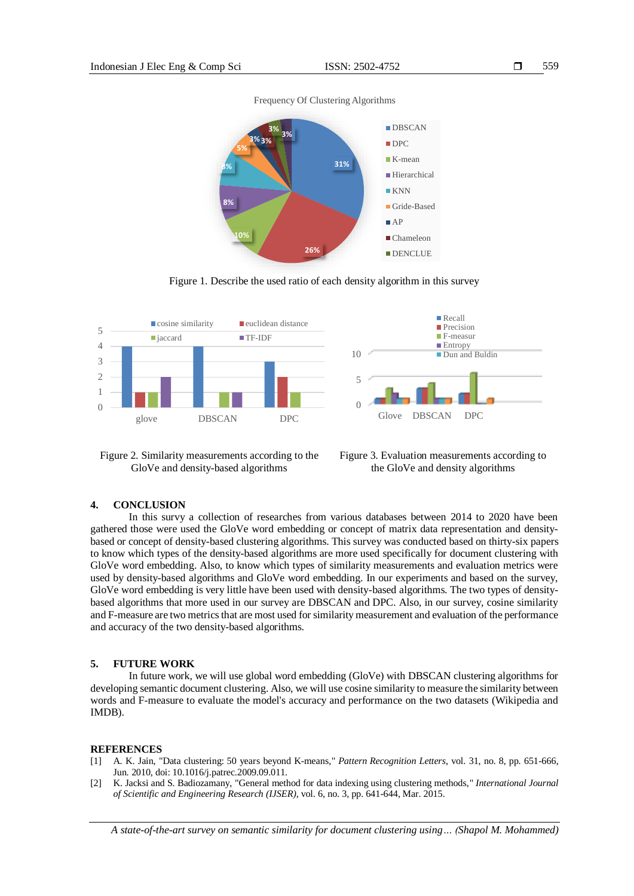559



Figure 1. Describe the used ratio of each density algorithm in this survey



Figure 2. Similarity measurements according to the GloVe and density-based algorithms

Figure 3. Evaluation measurements according to the GloVe and density algorithms

#### **4. CONCLUSION**

In this survy a collection of researches from various databases between 2014 to 2020 have been gathered those were used the GloVe word embedding or concept of matrix data representation and densitybased or concept of density-based clustering algorithms. This survey was conducted based on thirty-six papers to know which types of the density-based algorithms are more used specifically for document clustering with GloVe word embedding. Also, to know which types of similarity measurements and evaluation metrics were used by density-based algorithms and GloVe word embedding. In our experiments and based on the survey, GloVe word embedding is very little have been used with density-based algorithms. The two types of densitybased algorithms that more used in our survey are DBSCAN and DPC. Also, in our survey, cosine similarity and F-measure are two metrics that are most used for similarity measurement and evaluation of the performance and accuracy of the two density-based algorithms.

#### **5. FUTURE WORK**

In future work, we will use global word embedding (GloVe) with DBSCAN clustering algorithms for developing semantic document clustering. Also, we will use cosine similarity to measure the similarity between words and F-measure to evaluate the model's accuracy and performance on the two datasets (Wikipedia and IMDB).

#### **REFERENCES**

- [1] A. K. Jain, "Data clustering: 50 years beyond K-means," *Pattern Recognition Letters*, vol. 31, no. 8, pp. 651-666, Jun. 2010, doi: 10.1016/j.patrec.2009.09.011.
- [2] K. Jacksi and S. Badiozamany, "General method for data indexing using clustering methods," *International Journal of Scientific and Engineering Research (IJSER)*, vol. 6, no. 3, pp. 641-644, Mar. 2015.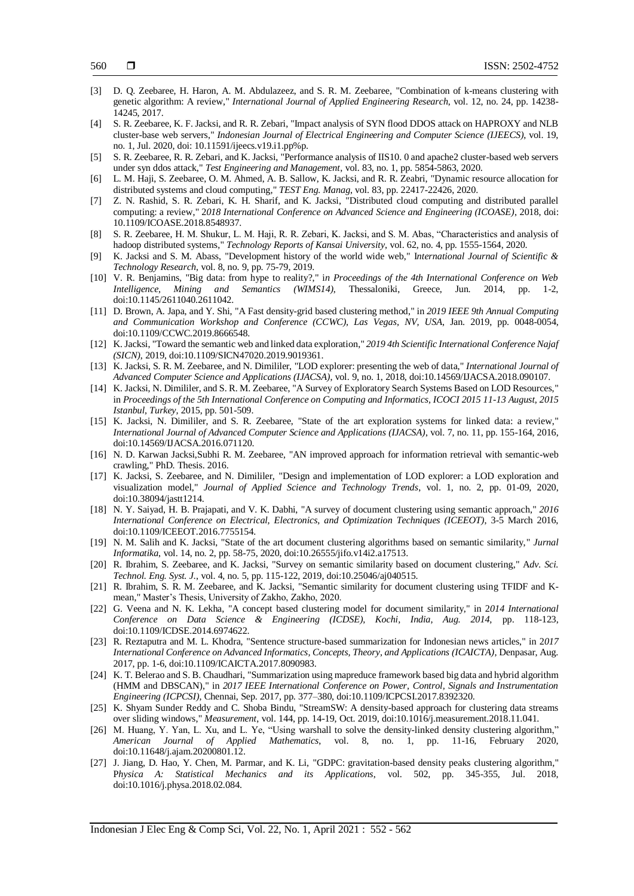- [3] D. Q. Zeebaree, H. Haron, A. M. Abdulazeez, and S. R. M. Zeebaree, "Combination of k-means clustering with genetic algorithm: A review," *International Journal of Applied Engineering Research*, vol. 12, no. 24, pp. 14238- 14245, 2017.
- [4] S. R. Zeebaree, K. F. Jacksi, and R. R. Zebari, "Impact analysis of SYN flood DDOS attack on HAPROXY and NLB cluster-base web servers," *Indonesian Journal of Electrical Engineering and Computer Science (IJEECS)*, vol. 19, no. 1, Jul. 2020, doi: 10.11591/ijeecs.v19.i1.pp%p.
- [5] S. R. Zeebaree, R. R. Zebari, and K. Jacksi, "Performance analysis of IIS10. 0 and apache2 cluster-based web servers under syn ddos attack," *Test Engineering and Management*, vol. 83, no. 1, pp. 5854-5863, 2020.
- [6] L. M. Haji, S. Zeebaree, O. M. Ahmed, A. B. Sallow, K. Jacksi, and R. R. Zeabri, "Dynamic resource allocation for distributed systems and cloud computing," *TEST Eng. Manag*, vol. 83, pp. 22417-22426, 2020.
- [7] Z. N. Rashid, S. R. Zebari, K. H. Sharif, and K. Jacksi, "Distributed cloud computing and distributed parallel computing: a review," 2*018 International Conference on Advanced Science and Engineering (ICOASE)*, 2018, doi: 10.1109/ICOASE.2018.8548937.
- [8] S. R. Zeebaree, H. M. Shukur, L. M. Haji, R. R. Zebari, K. Jacksi, and S. M. Abas, "Characteristics and analysis of hadoop distributed systems," *Technology Reports of Kansai University*, vol. 62, no. 4, pp. 1555-1564, 2020.
- [9] K. Jacksi and S. M. Abass, "Development history of the world wide web," I*nternational Journal of Scientific & Technology Research*, vol. 8, no. 9, pp. 75-79, 2019.
- [10] V. R. Benjamins, "Big data: from hype to reality?," i*n Proceedings of the 4th International Conference on Web Intelligence, Mining and Semantics (WIMS14)*, Thessaloniki, Greece, Jun. 2014, pp. 1-2, doi:10.1145/2611040.2611042.
- [11] D. Brown, A. Japa, and Y. Shi, "A Fast density-grid based clustering method," in *2019 IEEE 9th Annual Computing and Communication Workshop and Conference (CCWC), Las Vegas, NV, USA*, Jan. 2019, pp. 0048-0054, doi:10.1109/CCWC.2019.8666548.
- [12] K. Jacksi, "Toward the semantic web and linked data exploration," *2019 4th Scientific International Conference Najaf (SICN)*, 2019, doi:10.1109/SICN47020.2019.9019361.
- [13] K. Jacksi, S. R. M. Zeebaree, and N. Dimililer, "LOD explorer: presenting the web of data," *International Journal of Advanced Computer Science and Applications (IJACSA)*, vol. 9, no. 1, 2018, doi:10.14569/IJACSA.2018.090107.
- [14] K. Jacksi, N. Dimililer, and S. R. M. Zeebaree, "A Survey of Exploratory Search Systems Based on LOD Resources," in *Proceedings of the 5th International Conference on Computing and Informatics, ICOCI 2015 11-13 August, 2015 Istanbul, Turkey,* 2015, pp. 501-509.
- [15] K. Jacksi, N. Dimililer, and S. R. Zeebaree, "State of the art exploration systems for linked data: a review," *International Journal of Advanced Computer Science and Applications (IJACSA)*, vol. 7, no. 11, pp. 155-164, 2016, doi:10.14569/IJACSA.2016.071120.
- [16] N. D. Karwan Jacksi,Subhi R. M. Zeebaree, "AN improved approach for information retrieval with semantic-web crawling," PhD. Thesis. 2016.
- [17] K. Jacksi, S. Zeebaree, and N. Dimililer, "Design and implementation of LOD explorer: a LOD exploration and visualization model," *Journal of Applied Science and Technology Trends*, vol. 1, no. 2, pp. 01-09, 2020, doi:10.38094/jastt1214.
- [18] N. Y. Saiyad, H. B. Prajapati, and V. K. Dabhi, "A survey of document clustering using semantic approach," *2016 International Conference on Electrical, Electronics, and Optimization Techniques (ICEEOT)*, 3-5 March 2016, doi:10.1109/ICEEOT.2016.7755154.
- [19] N. M. Salih and K. Jacksi, "State of the art document clustering algorithms based on semantic similarity," *Jurnal Informatika*, vol. 14, no. 2, pp. 58-75, 2020, doi:10.26555/jifo.v14i2.a17513.
- [20] R. Ibrahim, S. Zeebaree, and K. Jacksi, "Survey on semantic similarity based on document clustering," A*dv. Sci. Technol. Eng. Syst. J.*, vol. 4, no. 5, pp. 115-122, 2019, doi:10.25046/aj040515.
- [21] R. Ibrahim, S. R. M. Zeebaree, and K. Jacksi, "Semantic similarity for document clustering using TFIDF and Kmean," Master's Thesis, University of Zakho, Zakho, 2020.
- [22] G. Veena and N. K. Lekha, "A concept based clustering model for document similarity," in 2*014 International Conference on Data Science & Engineering (ICDSE), Kochi, India, Aug. 2014,* pp. 118-123, doi:10.1109/ICDSE.2014.6974622.
- [23] R. Reztaputra and M. L. Khodra, "Sentence structure-based summarization for Indonesian news articles," in 2*017 International Conference on Advanced Informatics, Concepts, Theory, and Applications (ICAICTA)*, Denpasar, Aug. 2017, pp. 1-6, doi:10.1109/ICAICTA.2017.8090983.
- [24] K. T. Belerao and S. B. Chaudhari, "Summarization using mapreduce framework based big data and hybrid algorithm (HMM and DBSCAN)," in *2017 IEEE International Conference on Power, Control, Signals and Instrumentation Engineering (ICPCSI)*, Chennai, Sep. 2017, pp. 377–380, doi:10.1109/ICPCSI.2017.8392320.
- [25] K. Shyam Sunder Reddy and C. Shoba Bindu, "StreamSW: A density-based approach for clustering data streams over sliding windows," *Measurement*, vol. 144, pp. 14-19, Oct. 2019, doi:10.1016/j.measurement.2018.11.041.
- [26] M. Huang, Y. Yan, L. Xu, and L. Ye, "Using warshall to solve the density-linked density clustering algorithm," *American Journal of Applied Mathematics*, vol. 8, no. 1, pp. 11-16, February 2020, doi:10.11648/j.ajam.20200801.12.
- [27] J. Jiang, D. Hao, Y. Chen, M. Parmar, and K. Li, "GDPC: gravitation-based density peaks clustering algorithm," P*hysica A: Statistical Mechanics and its Applications*, vol. 502, pp. 345-355, Jul. 2018, doi:10.1016/j.physa.2018.02.084.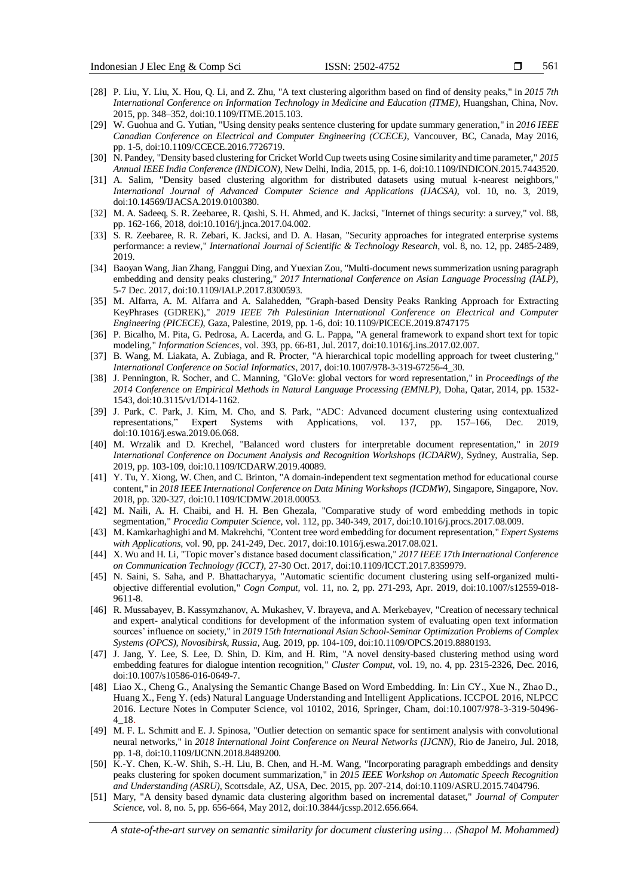- 561
- [28] P. Liu, Y. Liu, X. Hou, Q. Li, and Z. Zhu, "A text clustering algorithm based on find of density peaks," in *2015 7th International Conference on Information Technology in Medicine and Education (ITME)*, Huangshan, China, Nov. 2015, pp. 348–352, doi:10.1109/ITME.2015.103.
- [29] W. Guohua and G. Yutian, "Using density peaks sentence clustering for update summary generation," in *2016 IEEE Canadian Conference on Electrical and Computer Engineering (CCECE)*, Vancouver, BC, Canada, May 2016, pp. 1-5, doi:10.1109/CCECE.2016.7726719.
- [30] N. Pandey, "Density based clustering for Cricket World Cup tweets using Cosine similarity and time parameter," *2015 Annual IEEE India Conference (INDICON)*, New Delhi, India, 2015, pp. 1-6, doi:10.1109/INDICON.2015.7443520.
- [31] A. Salim, "Density based clustering algorithm for distributed datasets using mutual k-nearest neighbors," *International Journal of Advanced Computer Science and Applications (IJACSA)*, vol. 10, no. 3, 2019, doi:10.14569/IJACSA.2019.0100380.
- [32] M. A. Sadeeq, S. R. Zeebaree, R. Qashi, S. H. Ahmed, and K. Jacksi, "Internet of things security: a survey," vol. 88, pp. 162-166, 2018, doi:10.1016/j.jnca.2017.04.002.
- [33] S. R. Zeebaree, R. R. Zebari, K. Jacksi, and D. A. Hasan, "Security approaches for integrated enterprise systems performance: a review," *International Journal of Scientific & Technology Research*, vol. 8, no. 12, pp. 2485-2489, 2019.
- [34] Baoyan Wang, Jian Zhang, Fanggui Ding, and Yuexian Zou, "Multi-document news summerization usning paragraph embedding and density peaks clustering," *2017 International Conference on Asian Language Processing (IALP),* 5-7 Dec. 2017, doi:10.1109/IALP.2017.8300593.
- [35] M. Alfarra, A. M. Alfarra and A. Salahedden, "Graph-based Density Peaks Ranking Approach for Extracting KeyPhrases (GDREK)," *2019 IEEE 7th Palestinian International Conference on Electrical and Computer Engineering (PICECE)*, Gaza, Palestine, 2019, pp. 1-6, doi: 10.1109/PICECE.2019.8747175
- [36] P. Bicalho, M. Pita, G. Pedrosa, A. Lacerda, and G. L. Pappa, "A general framework to expand short text for topic modeling," *Information Sciences*, vol. 393, pp. 66-81, Jul. 2017, doi:10.1016/j.ins.2017.02.007.
- [37] B. Wang, M. Liakata, A. Zubiaga, and R. Procter, "A hierarchical topic modelling approach for tweet clustering," *International Conference on Social Informatics*, 2017, doi:10.1007/978-3-319-67256-4\_30.
- [38] J. Pennington, R. Socher, and C. Manning, "GloVe: global vectors for word representation," in *Proceedings of the 2014 Conference on Empirical Methods in Natural Language Processing (EMNLP)*, Doha, Qatar, 2014, pp. 1532- 1543, doi:10.3115/v1/D14-1162.
- [39] J. Park, C. Park, J. Kim, M. Cho, and S. Park, "ADC: Advanced document clustering using contextualized Expert Systems with Applications, vol. 137, pp. 157–166, Dec. 2019, doi:10.1016/j.eswa.2019.06.068.
- [40] M. Wrzalik and D. Krechel, "Balanced word clusters for interpretable document representation," in 2*019 International Conference on Document Analysis and Recognition Workshops (ICDARW)*, Sydney, Australia, Sep. 2019, pp. 103-109, doi:10.1109/ICDARW.2019.40089.
- [41] Y. Tu, Y. Xiong, W. Chen, and C. Brinton, "A domain-independent text segmentation method for educational course content," in *2018 IEEE International Conference on Data Mining Workshops (ICDMW)*, Singapore, Singapore, Nov. 2018, pp. 320-327, doi:10.1109/ICDMW.2018.00053.
- [42] M. Naili, A. H. Chaibi, and H. H. Ben Ghezala, "Comparative study of word embedding methods in topic segmentation," *Procedia Computer Science*, vol. 112, pp. 340-349, 2017, doi:10.1016/j.procs.2017.08.009.
- [43] M. Kamkarhaghighi and M. Makrehchi, "Content tree word embedding for document representation," *Expert Systems with Applications*, vol. 90, pp. 241-249, Dec. 2017, doi:10.1016/j.eswa.2017.08.021.
- [44] X. Wu and H. Li, "Topic mover's distance based document classification," *2017 IEEE 17th International Conference on Communication Technology (ICCT)*, 27-30 Oct. 2017, doi:10.1109/ICCT.2017.8359979.
- [45] N. Saini, S. Saha, and P. Bhattacharyya, "Automatic scientific document clustering using self-organized multiobjective differential evolution," *Cogn Comput,* vol. 11, no. 2, pp. 271-293, Apr. 2019, doi:10.1007/s12559-018- 9611-8.
- [46] R. Mussabayev, B. Kassymzhanov, A. Mukashev, V. Ibrayeva, and A. Merkebayev, "Creation of necessary technical and expert- analytical conditions for development of the information system of evaluating open text information sources' influence on society," in *2019 15th International Asian School-Seminar Optimization Problems of Complex Systems (OPCS), Novosibirsk, Russia*, Aug. 2019, pp. 104-109, doi:10.1109/OPCS.2019.8880193.
- [47] J. Jang, Y. Lee, S. Lee, D. Shin, D. Kim, and H. Rim, "A novel density-based clustering method using word embedding features for dialogue intention recognition," *Cluster Comput*, vol. 19, no. 4, pp. 2315-2326, Dec. 2016, doi:10.1007/s10586-016-0649-7.
- [48] Liao X., Cheng G., Analysing the Semantic Change Based on Word Embedding. In: Lin CY., Xue N., Zhao D., Huang X., Feng Y. (eds) Natural Language Understanding and Intelligent Applications. ICCPOL 2016, NLPCC 2016. Lecture Notes in Computer Science, vol 10102, 2016, Springer, Cham, doi:10.1007/978-3-319-50496- 4\_18.
- [49] M. F. L. Schmitt and E. J. Spinosa, "Outlier detection on semantic space for sentiment analysis with convolutional neural networks," in *2018 International Joint Conference on Neural Networks (IJCNN)*, Rio de Janeiro, Jul. 2018, pp. 1-8, doi:10.1109/IJCNN.2018.8489200.
- [50] K.-Y. Chen, K.-W. Shih, S.-H. Liu, B. Chen, and H.-M. Wang, "Incorporating paragraph embeddings and density peaks clustering for spoken document summarization," in *2015 IEEE Workshop on Automatic Speech Recognition and Understanding (ASRU)*, Scottsdale, AZ, USA, Dec. 2015, pp. 207-214, doi:10.1109/ASRU.2015.7404796.
- [51] Mary, "A density based dynamic data clustering algorithm based on incremental dataset," *Journal of Computer Science*, vol. 8, no. 5, pp. 656-664, May 2012, doi:10.3844/jcssp.2012.656.664.

*A state-of-the-art survey on semantic similarity for document clustering using… (Shapol M. Mohammed)*